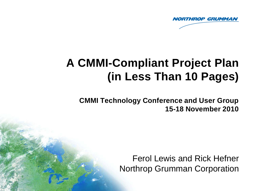

# **A CMMI-Compliant Project Plan (in Less Than 10 Pages)**

**CMMI Technology Conference and User Group 15-18 November 2010** 

> Ferol Lewis and Rick Hefner Northrop Grumman Corporation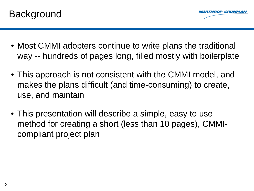



- Most CMMI adopters continue to write plans the traditional way -- hundreds of pages long, filled mostly with boilerplate
- This approach is not consistent with the CMMI model, and makes the plans difficult (and time-consuming) to create, use, and maintain
- This presentation will describe a simple, easy to use method for creating a short (less than 10 pages), CMMIcompliant project plan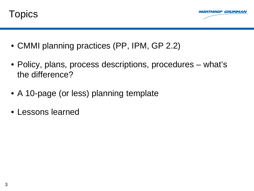



- CMMI planning practices (PP, IPM, GP 2.2)
- Policy, plans, process descriptions, procedures what's the difference?
- A 10-page (or less) planning template
- Lessons learned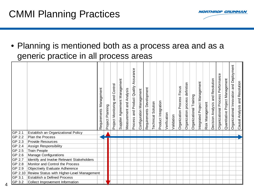4

**HROP GRUMMAN** 

• Planning is mentioned both as a process area and as a generic practice in all process areas

|         |                                            | Management<br>Requirements | Project Planning | Project Monitoring and Control | Supplier Agreement Management | Measurement and Analysis | Assurance<br>Process and Product Quality | Configuration Management | Requirements Development | Technical Solution | Product Integration | Verification | Validation | Organization Process Focus | Organization process definition | Organizational Training | Integrated Project Management | Risk Management | and Resolution<br>Decision Analysis | Organizational Process Performance | Quantitative Project Management | Organizational Innovation and Deployment | and Resolution<br>Causal Analysis |
|---------|--------------------------------------------|----------------------------|------------------|--------------------------------|-------------------------------|--------------------------|------------------------------------------|--------------------------|--------------------------|--------------------|---------------------|--------------|------------|----------------------------|---------------------------------|-------------------------|-------------------------------|-----------------|-------------------------------------|------------------------------------|---------------------------------|------------------------------------------|-----------------------------------|
| GP 2.1  | Establish an Organizational Policy         |                            |                  |                                |                               |                          |                                          |                          |                          |                    |                     |              |            |                            |                                 |                         |                               |                 |                                     |                                    |                                 |                                          |                                   |
| GP 2.2  | <b>Plan the Process</b>                    |                            |                  |                                |                               |                          |                                          |                          |                          |                    |                     |              |            |                            |                                 |                         |                               |                 |                                     |                                    |                                 |                                          |                                   |
| GP 2.3  | <b>Provide Resources</b>                   |                            |                  |                                |                               |                          |                                          |                          |                          |                    |                     |              |            |                            |                                 |                         |                               |                 |                                     |                                    |                                 |                                          |                                   |
| GP 2.4  | Assign Responsibility                      |                            |                  |                                |                               |                          |                                          |                          |                          |                    |                     |              |            |                            |                                 |                         |                               |                 |                                     |                                    |                                 |                                          |                                   |
| GP 2.5  | <b>Train People</b>                        |                            |                  |                                |                               |                          |                                          |                          |                          |                    |                     |              |            |                            |                                 |                         |                               |                 |                                     |                                    |                                 |                                          |                                   |
| GP 2.6  | <b>Manage Configurations</b>               |                            |                  |                                |                               |                          |                                          |                          |                          |                    |                     |              |            |                            |                                 |                         |                               |                 |                                     |                                    |                                 |                                          |                                   |
| GP 2.7  | Identify and Involve Relevant Stakeholders |                            |                  |                                |                               |                          |                                          |                          |                          |                    |                     |              |            |                            |                                 |                         |                               |                 |                                     |                                    |                                 |                                          |                                   |
| GP 2.8  | Monitor and Control the Process            |                            |                  |                                |                               |                          |                                          |                          |                          |                    |                     |              |            |                            |                                 |                         |                               |                 |                                     |                                    |                                 |                                          |                                   |
| GP 2.9  | Objectively Evaluate Adherence             |                            |                  |                                |                               |                          |                                          |                          |                          |                    |                     |              |            |                            |                                 |                         |                               |                 |                                     |                                    |                                 |                                          |                                   |
| GP 2.10 | Review Status with Higher-Level Management |                            |                  |                                |                               |                          |                                          |                          |                          |                    |                     |              |            |                            |                                 |                         |                               |                 |                                     |                                    |                                 |                                          |                                   |
| GP 3.1  | <b>Establish a Defined Process</b>         |                            |                  |                                |                               |                          |                                          |                          |                          |                    |                     |              |            |                            |                                 |                         |                               |                 |                                     |                                    |                                 |                                          |                                   |
| GP 3.2  | Collect Improvement Information            |                            |                  |                                |                               |                          |                                          |                          |                          |                    |                     |              |            |                            |                                 |                         |                               |                 |                                     |                                    |                                 |                                          |                                   |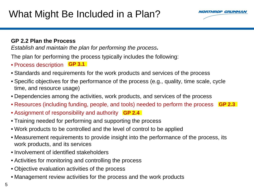

#### **GP 2.2 Plan the Process**

*Establish and maintain the plan for performing the process.*

The plan for performing the process typically includes the following:

- Process description **GP 3.1**
- Standards and requirements for the work products and services of the process
- Specific objectives for the performance of the process (e.g., quality, time scale, cycle time, and resource usage)
- Dependencies among the activities, work products, and services of the process
- Resources (including funding, people, and tools) needed to perform the process **GP 2.3**
- **Assignment of responsibility and authority** GP 2.4
- Training needed for performing and supporting the process
- Work products to be controlled and the level of control to be applied
- Measurement requirements to provide insight into the performance of the process, its work products, and its services
- Involvement of identified stakeholders
- Activities for monitoring and controlling the process
- Objective evaluation activities of the process
- Management review activities for the process and the work products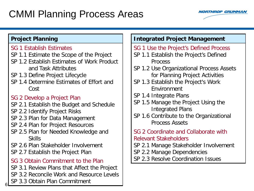## CMMI Planning Process Areas



#### **Project Planning**

- SG 1 Establish Estimates
- SP 1.1 Estimate the Scope of the Project
- SP 1.2 Establish Estimates of Work Product and Task Attributes
- SP 1.3 Define Project Lifecycle
- SP 1.4 Determine Estimates of Effort and Cost

#### SG 2 Develop a Project Plan

- SP 2.1 Establish the Budget and Schedule
- SP 2.2 Identify Project Risks
- SP 2.3 Plan for Data Management
- SP 2.4 Plan for Project Resources
- SP 2.5 Plan for Needed Knowledge and Skills
- SP 2.6 Plan Stakeholder Involvement
- SP 2.7 Establish the Project Plan
- SG 3 Obtain Commitment to the Plan
- SP 3.1 Review Plans that Affect the Project
- SP 3.2 Reconcile Work and Resource Levels
- SP 3.3 Obtain Plan Commitment

6

#### **Integrated Project Management**

- SG 1 Use the Project's Defined Process
- SP 1.1 Establish the Project's Defined Process
- SP 1.2 Use Organizational Process Assets for Planning Project Activities
- SP 1.3 Establish the Project's Work Environment
- SP 1.4 Integrate Plans
- SP 1.5 Manage the Project Using the Integrated Plans
- SP 1.6 Contribute to the Organizational Process Assets
- SG 2 Coordinate and Collaborate with Relevant Stakeholders
- SP 2.1 Manage Stakeholder Involvement
- SP 2.2 Manage Dependencies
- SP 2.3 Resolve Coordination Issues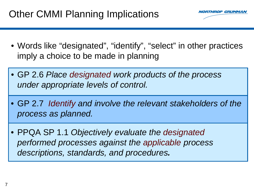## Other CMMI Planning Implications



- Words like "designated", "identify", "select" in other practices imply a choice to be made in planning
- GP 2.6 *Place designated work products of the process under appropriate levels of control.*
- GP 2.7 *Identify and involve the relevant stakeholders of the process as planned.*
- PPQA SP 1.1 *Objectively evaluate the designated performed processes against the applicable process descriptions, standards, and procedures.*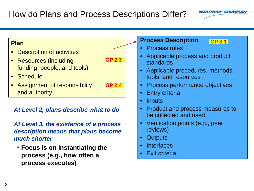### How do Plans and Process Descriptions Differ?



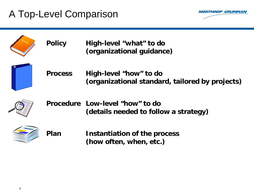## A Top-Level Comparison



| <b>Policy</b>  | High-level "what" to do<br>(organizational guidance)                      |
|----------------|---------------------------------------------------------------------------|
| <b>Process</b> | High-level "how" to do<br>(organizational standard, tailored by projects) |
|                | Procedure Low-level "how" to do<br>(details needed to follow a strategy)  |
| Plan           | Instantiation of the process<br>(how often, when, etc.)                   |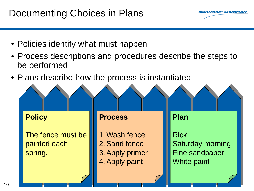### Documenting Choices in Plans



- Policies identify what must happen
- Process descriptions and procedures describe the steps to be performed
- Plans describe how the process is instantiated

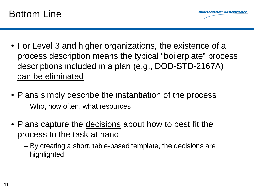



- For Level 3 and higher organizations, the existence of a process description means the typical "boilerplate" process descriptions included in a plan (e.g., DOD-STD-2167A) can be eliminated
- Plans simply describe the instantiation of the process – Who, how often, what resources
- Plans capture the decisions about how to best fit the process to the task at hand
	- By creating a short, table-based template, the decisions are highlighted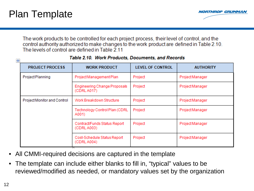

The work products to be controlled for each project process, their level of control, and the control authority authorized to make changes to the work product are defined in Table 2.10. The levels of control are defined in Table 2.11

| $\ddot{\ddagger}$ | Table 2.10. Work Frounces, Documents, and Necorus |                                             |                         |                  |  |  |  |  |  |  |  |
|-------------------|---------------------------------------------------|---------------------------------------------|-------------------------|------------------|--|--|--|--|--|--|--|
|                   | <b>PROJECT PROCESS</b>                            | <b>WORK PRODUCT</b>                         | <b>LEVEL OF CONTROL</b> | <b>AUTHORITY</b> |  |  |  |  |  |  |  |
|                   | Project Planning                                  | Project Management Plan                     | Project                 | Project Manager  |  |  |  |  |  |  |  |
|                   |                                                   | Engineering Change Proposals<br>(CDRL A017) | Project                 | Project Manager  |  |  |  |  |  |  |  |
|                   | Project Monitor and Control                       | Work Breakdown Structure                    | Project                 | Project Manager  |  |  |  |  |  |  |  |
|                   |                                                   | Technology Control Plan (CDRL)<br>A001)     | Project                 | Project Manager  |  |  |  |  |  |  |  |
|                   |                                                   | Contract/Funds Status Report<br>(CDRL A003) | Project                 | Project Manager  |  |  |  |  |  |  |  |
|                   |                                                   | Cost-Schedule Status Report<br>(CDRL A004)  | Project                 | Project Manager  |  |  |  |  |  |  |  |

#### Table 2.10. Work Products, Documents, and Records

- All CMMI-required decisions are captured in the template
- The template can include either blanks to fill in, "typical" values to be reviewed/modified as needed, or mandatory values set by the organization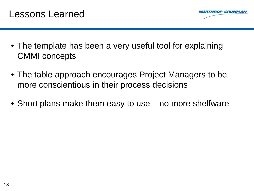



ROP GRUMMA

- The table approach encourages Project Managers to be more conscientious in their process decisions
- Short plans make them easy to use no more shelfware